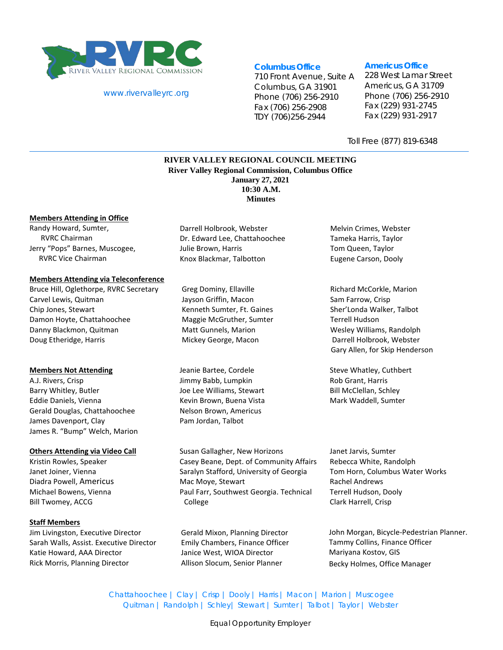

#### [www.rivervalleyrc.org](http://www.rivervalleyrc.org/)

# **Columbus Office**

710 Front Avenue, Suite A Columbus, GA 31901 Phone (706) 256-2910 Fax (706) 256-2908 TDY (706)256-2944

#### **Americus Office**

228 West Lamar Street Americus, GA 31709 Phone (706) 256-2910 Fax (229) 931-2745 Fax (229) 931-2917

Toll Free (877) 819-6348

# **RIVER VALLEY REGIONAL COUNCIL MEETING River Valley Regional Commission, Columbus Office January 27, 2021 10:30 A.M. Minutes**

#### **Members Attending in Office**

Randy Howard, Sumter, RVRC Chairman Jerry "Pops" Barnes, Muscogee, RVRC Vice Chairman

#### **Members Attending via Teleconference**

Bruce Hill, Oglethorpe, RVRC Secretary Carvel Lewis, Quitman Chip Jones, Stewart Damon Hoyte, Chattahoochee Danny Blackmon, Quitman Doug Etheridge, Harris

#### **Members Not Attending**

A.J. Rivers, Crisp Barry Whitley, Butler Eddie Daniels, Vienna Gerald Douglas, Chattahoochee James Davenport, Clay James R. "Bump" Welch, Marion

#### **Others Attending via Video Call**

Kristin Rowles, Speaker Janet Joiner, Vienna Diadra Powell, Americus Michael Bowens, Vienna Bill Twomey, ACCG

# **Staff Members**

Jim Livingston, Executive Director Sarah Walls, Assist. Executive Director Katie Howard, AAA Director Rick Morris, Planning Director

Darrell Holbrook, Webster Dr. Edward Lee, Chattahoochee Julie Brown, Harris Knox Blackmar, Talbotton

Greg Dominy, Ellaville Jayson Griffin, Macon Kenneth Sumter, Ft. Gaines Maggie McGruther, Sumter Matt Gunnels, Marion Mickey George, Macon

Jeanie Bartee, Cordele Jimmy Babb, Lumpkin Joe Lee Williams, Stewart Kevin Brown, Buena Vista Nelson Brown, Americus Pam Jordan, Talbot

Susan Gallagher, New Horizons Casey Beane, Dept. of Community Affairs Saralyn Stafford, University of Georgia Mac Moye, Stewart Paul Farr, Southwest Georgia. Technical College

Gerald Mixon, Planning Director Emily Chambers, Finance Officer Janice West, WIOA Director Allison Slocum, Senior Planner

Melvin Crimes, Webster Tameka Harris, Taylor Tom Queen, Taylor Eugene Carson, Dooly

Richard McCorkle, Marion Sam Farrow, Crisp Sher'Londa Walker, Talbot Terrell Hudson Wesley Williams, Randolph Darrell Holbrook, Webster Gary Allen, for Skip Henderson

Steve Whatley, Cuthbert Rob Grant, Harris Bill McClellan, Schley Mark Waddell, Sumter

Janet Jarvis, Sumter Rebecca White, Randolph Tom Horn, Columbus Water Works Rachel Andrews Terrell Hudson, Dooly Clark Harrell, Crisp

John Morgan, Bicycle-Pedestrian Planner. Tammy Collins, Finance Officer Mariyana Kostov, GIS Becky Holmes, Office Manager

Chattahoochee | Clay | Crisp | Dooly | Harris | Macon | Marion | Muscogee Quitman | Randolph | Schley| Stewart | Sumter | Talbot | Taylor | Webster

Equal Opportunity Employer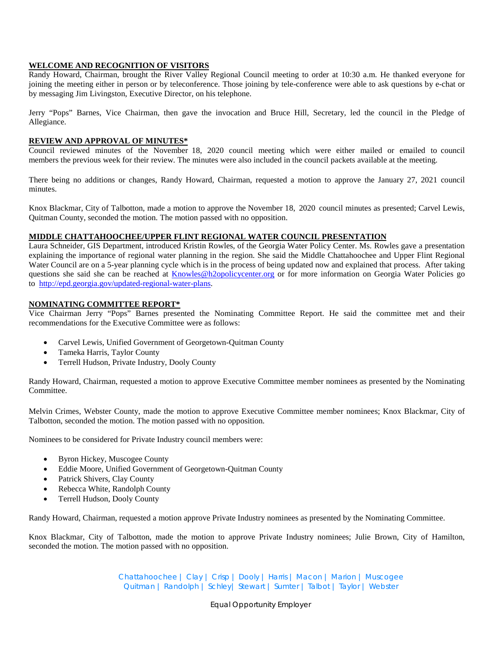# **WELCOME AND RECOGNITION OF VISITORS**

Randy Howard, Chairman, brought the River Valley Regional Council meeting to order at 10:30 a.m. He thanked everyone for joining the meeting either in person or by teleconference. Those joining by tele-conference were able to ask questions by e-chat or by messaging Jim Livingston, Executive Director, on his telephone.

Jerry "Pops" Barnes, Vice Chairman, then gave the invocation and Bruce Hill, Secretary, led the council in the Pledge of Allegiance.

#### **REVIEW AND APPROVAL OF MINUTES\***

Council reviewed minutes of the November 18, 2020 council meeting which were either mailed or emailed to council members the previous week for their review. The minutes were also included in the council packets available at the meeting.

There being no additions or changes, Randy Howard, Chairman, requested a motion to approve the January 27, 2021 council minutes.

Knox Blackmar, City of Talbotton, made a motion to approve the November 18, 2020 council minutes as presented; Carvel Lewis, Quitman County, seconded the motion. The motion passed with no opposition.

# **MIDDLE CHATTAHOOCHEE/UPPER FLINT REGIONAL WATER COUNCIL PRESENTATION**

Laura Schneider, GIS Department, introduced Kristin Rowles, of the Georgia Water Policy Center. Ms. Rowles gave a presentation explaining the importance of regional water planning in the region. She said the Middle Chattahoochee and Upper Flint Regional Water Council are on a 5-year planning cycle which is in the process of being updated now and explained that process. After taking questions she said she can be reached at [Knowles@h2opolicycenter.org](mailto:Knowles@h2opolicycenter.org) or for more information on Georgia Water Policies go to [http://epd.georgia.gov/updated-regional-water-plans.](http://epd.georgia.gov/updated-regional-water-plans)

# **NOMINATING COMMITTEE REPORT\***

Vice Chairman Jerry "Pops" Barnes presented the Nominating Committee Report. He said the committee met and their recommendations for the Executive Committee were as follows:

- Carvel Lewis, Unified Government of Georgetown-Quitman County
- Tameka Harris, Taylor County
- Terrell Hudson, Private Industry, Dooly County

Randy Howard, Chairman, requested a motion to approve Executive Committee member nominees as presented by the Nominating Committee.

Melvin Crimes, Webster County, made the motion to approve Executive Committee member nominees; Knox Blackmar, City of Talbotton, seconded the motion. The motion passed with no opposition.

Nominees to be considered for Private Industry council members were:

- Byron Hickey, Muscogee County
- Eddie Moore, Unified Government of Georgetown-Quitman County
- Patrick Shivers, Clay County
- Rebecca White, Randolph County
- Terrell Hudson, Dooly County

Randy Howard, Chairman, requested a motion approve Private Industry nominees as presented by the Nominating Committee.

Knox Blackmar, City of Talbotton, made the motion to approve Private Industry nominees; Julie Brown, City of Hamilton, seconded the motion. The motion passed with no opposition.

> Chattahoochee | Clay | Crisp | Dooly | Harris | Macon | Marion | Muscogee Quitman | Randolph | Schley| Stewart | Sumter | Talbot | Taylor | Webster

> > Equal Opportunity Employer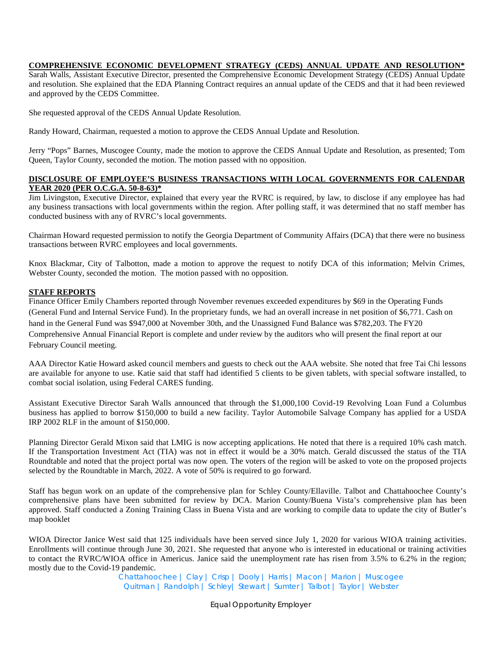# **COMPREHENSIVE ECONOMIC DEVELOPMENT STRATEGY (CEDS) ANNUAL UPDATE AND RESOLUTION\***

Sarah Walls, Assistant Executive Director, presented the Comprehensive Economic Development Strategy (CEDS) Annual Update and resolution. She explained that the EDA Planning Contract requires an annual update of the CEDS and that it had been reviewed and approved by the CEDS Committee.

She requested approval of the CEDS Annual Update Resolution.

Randy Howard, Chairman, requested a motion to approve the CEDS Annual Update and Resolution.

Jerry "Pops" Barnes, Muscogee County, made the motion to approve the CEDS Annual Update and Resolution, as presented; Tom Queen, Taylor County, seconded the motion. The motion passed with no opposition.

# **DISCLOSURE OF EMPLOYEE'S BUSINESS TRANSACTIONS WITH LOCAL GOVERNMENTS FOR CALENDAR YEAR 2020 (PER O.C.G.A. 50-8-63)\***

Jim Livingston, Executive Director, explained that every year the RVRC is required, by law, to disclose if any employee has had any business transactions with local governments within the region. After polling staff, it was determined that no staff member has conducted business with any of RVRC's local governments.

Chairman Howard requested permission to notify the Georgia Department of Community Affairs (DCA) that there were no business transactions between RVRC employees and local governments.

Knox Blackmar, City of Talbotton, made a motion to approve the request to notify DCA of this information; Melvin Crimes, Webster County, seconded the motion. The motion passed with no opposition.

# **STAFF REPORTS**

Finance Officer Emily Chambers reported through November revenues exceeded expenditures by \$69 in the Operating Funds (General Fund and Internal Service Fund). In the proprietary funds, we had an overall increase in net position of \$6,771. Cash on hand in the General Fund was \$947,000 at November 30th, and the Unassigned Fund Balance was \$782,203. The FY20 Comprehensive Annual Financial Report is complete and under review by the auditors who will present the final report at our February Council meeting.

AAA Director Katie Howard asked council members and guests to check out the AAA website. She noted that free Tai Chi lessons are available for anyone to use. Katie said that staff had identified 5 clients to be given tablets, with special software installed, to combat social isolation, using Federal CARES funding.

Assistant Executive Director Sarah Walls announced that through the \$1,000,100 Covid-19 Revolving Loan Fund a Columbus business has applied to borrow \$150,000 to build a new facility. Taylor Automobile Salvage Company has applied for a USDA IRP 2002 RLF in the amount of \$150,000.

Planning Director Gerald Mixon said that LMIG is now accepting applications. He noted that there is a required 10% cash match. If the Transportation Investment Act (TIA) was not in effect it would be a 30% match. Gerald discussed the status of the TIA Roundtable and noted that the project portal was now open. The voters of the region will be asked to vote on the proposed projects selected by the Roundtable in March, 2022. A vote of 50% is required to go forward.

Staff has begun work on an update of the comprehensive plan for Schley County/Ellaville. Talbot and Chattahoochee County's comprehensive plans have been submitted for review by DCA. Marion County/Buena Vista's comprehensive plan has been approved. Staff conducted a Zoning Training Class in Buena Vista and are working to compile data to update the city of Butler's map booklet

WIOA Director Janice West said that 125 individuals have been served since July 1, 2020 for various WIOA training activities. Enrollments will continue through June 30, 2021. She requested that anyone who is interested in educational or training activities to contact the RVRC/WIOA office in Americus. Janice said the unemployment rate has risen from 3.5% to 6.2% in the region; mostly due to the Covid-19 pandemic.

Chattahoochee | Clay | Crisp | Dooly | Harris | Macon | Marion | Muscogee Quitman | Randolph | Schley| Stewart | Sumter | Talbot | Taylor | Webster

Equal Opportunity Employer